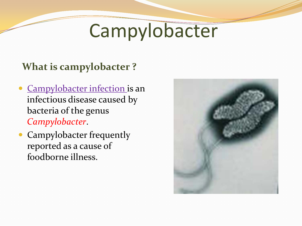# Campylobacter

#### **What is campylobacter ?**

- Campylobacter infection is an infectious disease caused by bacteria of the genus *Campylobacter*.
- Campylobacter frequently reported as a cause of foodborne illness.

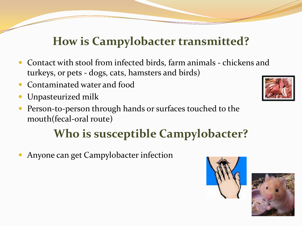#### **How is Campylobacter transmitted?**

- Contact with stool from infected birds, farm animals chickens and turkeys, or pets - dogs, cats, hamsters and birds)
- Contaminated water and food
- Unpasteurized milk
- Person-to-person through hands or surfaces touched to the mouth(fecal-oral route)

# **Who is susceptible Campylobacter?**

Anyone can get Campylobacter infection





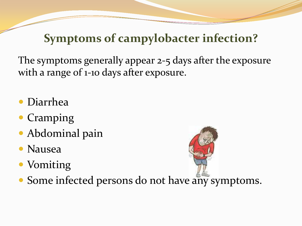### **Symptoms of campylobacter infection?**

The symptoms generally appear 2-5 days after the exposure with a range of 1-10 days after exposure.

- Diarrhea
- Cramping
- Abdominal pain
- Nausea
- Vomiting



Some infected persons do not hav[e any sy](http://www.google.com/imgres?imgurl=http://healthsciencetechnology.wikispaces.com/file/view/6a00e551d294ef88330147e30f8cee970b-800wi.jpg/216995718/6a00e551d294ef88330147e30f8cee970b-800wi.jpg&imgrefurl=http://www.medichatmd.com/blogs/food-poisoning-avoid-it.html&usg=___HJiEDdCZJcqYO9O-EJbFqt5Kps=&h=500&w=284&sz=22&hl=en&start=13&zoom=1&tbnid=IKA5gI00gvkX7M:&tbnh=130&tbnw=74&ei=kHpbUKXnN4SMyAG8moAI&prev=/search?q=Contaminated+water+and+food&hl=en&safe=active&gbv=2&tbm=isch&itbs=1)mptoms.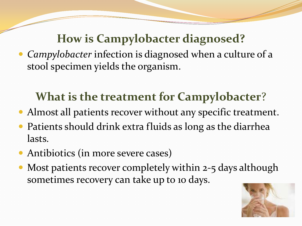#### **How is Campylobacter diagnosed?**

 *Campylobacter* infection is diagnosed when a culture of a stool specimen yields the organism.

# **What is the treatment for Campylobacter**?

- Almost all patients recover without any specific treatment.
- Patients should drink extra fluids as long as the diarrhea lasts.
- Antibiotics (in more severe cases)
- Most patients recover completely within 2-5 days although sometimes recovery can take up to 10 days.

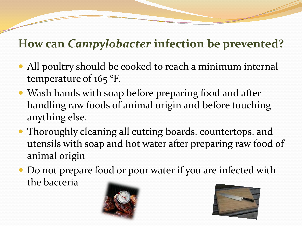### **How can** *Campylobacter* **infection be prevented?**

- All poultry should be cooked to reach a minimum internal temperature of 165 °F.
- Wash hands with soap before preparing food and after handling raw foods of animal origin and before touching anything else.
- Thoroughly cleaning all cutting boards, countertops, and utensils with soap and hot water after preparing raw food of animal origin
- Do not prepare food or pour water if you are infected with the bacteria